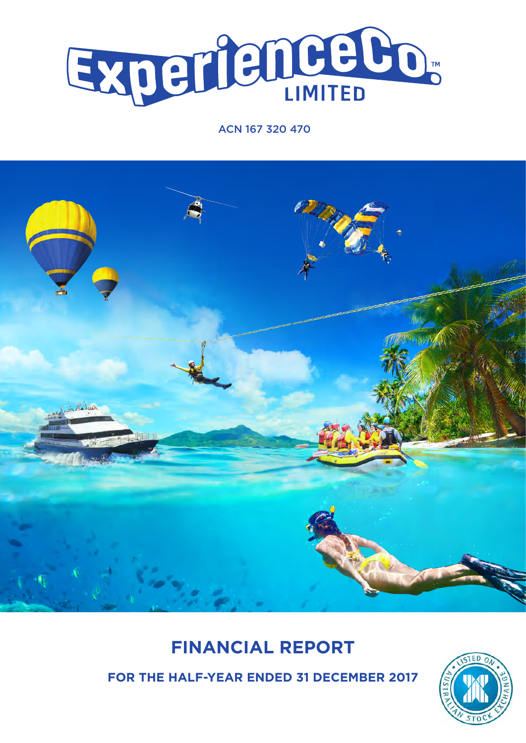

## ACN 167 320 470



# **FINANCIAL REPORT**

**FOR THE HALF-YEAR ENDED 31 DECEMBER 2017**

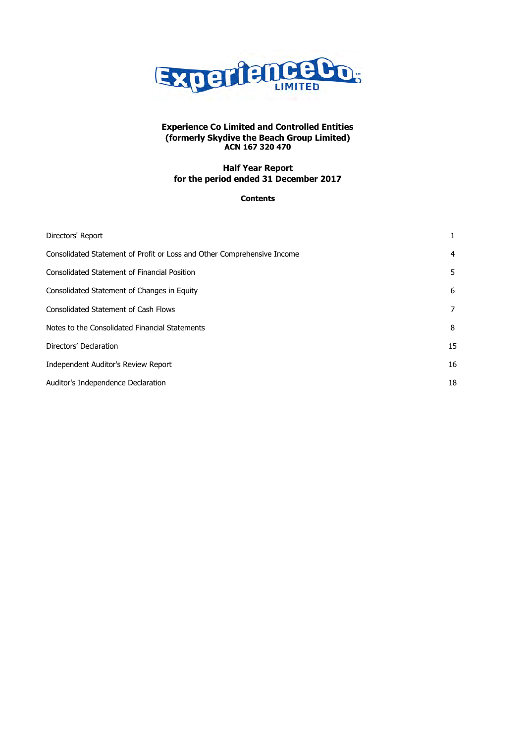

## **Half Year Report for the period ended 31 December 2017**

## **Contents**

| Directors' Report                                                       | 1              |
|-------------------------------------------------------------------------|----------------|
| Consolidated Statement of Profit or Loss and Other Comprehensive Income | 4              |
| Consolidated Statement of Financial Position                            | 5              |
| Consolidated Statement of Changes in Equity                             | 6              |
| <b>Consolidated Statement of Cash Flows</b>                             | $\overline{7}$ |
| Notes to the Consolidated Financial Statements                          | 8              |
| Directors' Declaration                                                  | 15             |
| Independent Auditor's Review Report                                     | 16             |
| Auditor's Independence Declaration                                      | 18             |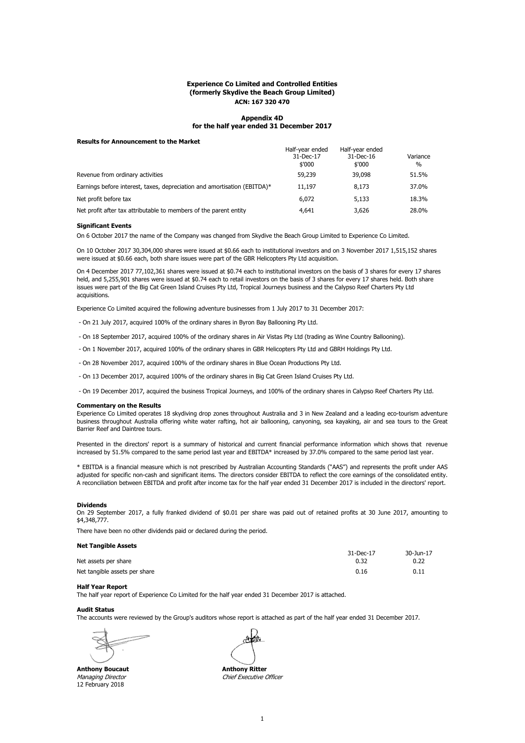#### **Appendix 4D for the half year ended 31 December 2017**

#### **Results for Announcement to the Market**

|                                                                          | Half-year ended<br>31-Dec-17<br>\$'000 | Half-year ended<br>31-Dec-16<br>\$'000 | Variance<br>$\frac{0}{0}$ |
|--------------------------------------------------------------------------|----------------------------------------|----------------------------------------|---------------------------|
| Revenue from ordinary activities                                         | 59,239                                 | 39,098                                 | 51.5%                     |
| Earnings before interest, taxes, depreciation and amortisation (EBITDA)* | 11,197                                 | 8,173                                  | 37.0%                     |
| Net profit before tax                                                    | 6,072                                  | 5,133                                  | 18.3%                     |
| Net profit after tax attributable to members of the parent entity        | 4,641                                  | 3,626                                  | 28.0%                     |

#### **Significant Events**

On 6 October 2017 the name of the Company was changed from Skydive the Beach Group Limited to Experience Co Limited.

On 10 October 2017 30,304,000 shares were issued at \$0.66 each to institutional investors and on 3 November 2017 1,515,152 shares were issued at \$0.66 each, both share issues were part of the GBR Helicopters Pty Ltd acquisition.

On 4 December 2017 77,102,361 shares were issued at \$0.74 each to institutional investors on the basis of 3 shares for every 17 shares held, and 5,255,901 shares were issued at \$0.74 each to retail investors on the basis of 3 shares for every 17 shares held. Both share issues were part of the Big Cat Green Island Cruises Pty Ltd, Tropical Journeys business and the Calypso Reef Charters Pty Ltd acquisitions.

Experience Co Limited acquired the following adventure businesses from 1 July 2017 to 31 December 2017:

- On 21 July 2017, acquired 100% of the ordinary shares in Byron Bay Ballooning Pty Ltd.
- On 18 September 2017, acquired 100% of the ordinary shares in Air Vistas Pty Ltd (trading as Wine Country Ballooning).
- On 1 November 2017, acquired 100% of the ordinary shares in GBR Helicopters Pty Ltd and GBRH Holdings Pty Ltd.
- On 28 November 2017, acquired 100% of the ordinary shares in Blue Ocean Productions Pty Ltd.
- On 13 December 2017, acquired 100% of the ordinary shares in Big Cat Green Island Cruises Pty Ltd.

- On 19 December 2017, acquired the business Tropical Journeys, and 100% of the ordinary shares in Calypso Reef Charters Pty Ltd.

#### **Commentary on the Results**

Experience Co Limited operates 18 skydiving drop zones throughout Australia and 3 in New Zealand and a leading eco-tourism adventure business throughout Australia offering white water rafting, hot air ballooning, canyoning, sea kayaking, air and sea tours to the Great Barrier Reef and Daintree tours.

Presented in the directors' report is a summary of historical and current financial performance information which shows that revenue increased by 51.5% compared to the same period last year and EBITDA\* increased by 37.0% compared to the same period last year.

\* EBITDA is a financial measure which is not prescribed by Australian Accounting Standards ("AAS") and represents the profit under AAS adjusted for specific non-cash and significant items. The directors consider EBITDA to reflect the core earnings of the consolidated entity. A reconciliation between EBITDA and profit after income tax for the half year ended 31 December 2017 is included in the directors' report.

#### **Dividends**

On 29 September 2017, a fully franked dividend of \$0.01 per share was paid out of retained profits at 30 June 2017, amounting to \$4,348,777.

There have been no other dividends paid or declared during the period.

### **Net Tangible Assets**

|                               | 31-Dec-17 | 30-Jun-17 |
|-------------------------------|-----------|-----------|
| Net assets per share          | 0.32      | 0.22      |
| Net tangible assets per share | 0.16      | 0.11      |

#### **Half Year Report**

The half year report of Experience Co Limited for the half year ended 31 December 2017 is attached.

#### **Audit Status**

The accounts were reviewed by the Group's auditors whose report is attached as part of the half year ended 31 December 2017.

**Anthony Boucaut Anthony Ritter** 12 February 2018

 $\mathcal{A}$   $\partial \theta$ 

Managing Director **Chief Executive Officer**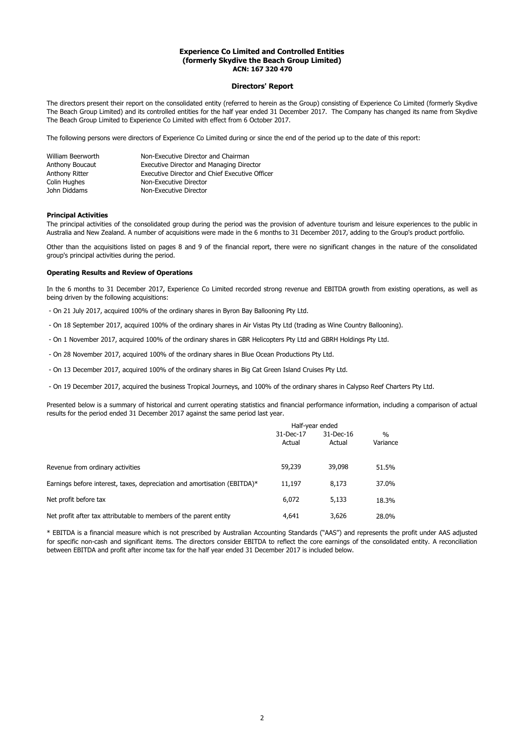#### **Directors' Report**

The directors present their report on the consolidated entity (referred to herein as the Group) consisting of Experience Co Limited (formerly Skydive The Beach Group Limited) and its controlled entities for the half year ended 31 December 2017. The Company has changed its name from Skydive The Beach Group Limited to Experience Co Limited with effect from 6 October 2017.

The following persons were directors of Experience Co Limited during or since the end of the period up to the date of this report:

| William Beerworth | Non-Executive Director and Chairman            |
|-------------------|------------------------------------------------|
| Anthony Boucaut   | Executive Director and Managing Director       |
| Anthony Ritter    | Executive Director and Chief Executive Officer |
| Colin Hughes      | Non-Executive Director                         |
| John Diddams      | Non-Executive Director                         |

#### **Principal Activities**

The principal activities of the consolidated group during the period was the provision of adventure tourism and leisure experiences to the public in Australia and New Zealand. A number of acquisitions were made in the 6 months to 31 December 2017, adding to the Group's product portfolio.

Other than the acquisitions listed on pages 8 and 9 of the financial report, there were no significant changes in the nature of the consolidated group's principal activities during the period.

#### **Operating Results and Review of Operations**

In the 6 months to 31 December 2017, Experience Co Limited recorded strong revenue and EBITDA growth from existing operations, as well as being driven by the following acquisitions:

- On 21 July 2017, acquired 100% of the ordinary shares in Byron Bay Ballooning Pty Ltd.
- On 18 September 2017, acquired 100% of the ordinary shares in Air Vistas Pty Ltd (trading as Wine Country Ballooning).
- On 1 November 2017, acquired 100% of the ordinary shares in GBR Helicopters Pty Ltd and GBRH Holdings Pty Ltd.
- On 28 November 2017, acquired 100% of the ordinary shares in Blue Ocean Productions Pty Ltd.
- On 13 December 2017, acquired 100% of the ordinary shares in Big Cat Green Island Cruises Pty Ltd.
- On 19 December 2017, acquired the business Tropical Journeys, and 100% of the ordinary shares in Calypso Reef Charters Pty Ltd.

Presented below is a summary of historical and current operating statistics and financial performance information, including a comparison of actual results for the period ended 31 December 2017 against the same period last year.

|                                                                          | Half-year ended |              |               |  |
|--------------------------------------------------------------------------|-----------------|--------------|---------------|--|
|                                                                          | 31-Dec-17       | $31$ -Dec-16 | $\frac{0}{0}$ |  |
|                                                                          | Actual          | Actual       | Variance      |  |
| Revenue from ordinary activities                                         | 59,239          | 39,098       | 51.5%         |  |
| Earnings before interest, taxes, depreciation and amortisation (EBITDA)* | 11,197          | 8,173        | 37.0%         |  |
| Net profit before tax                                                    | 6,072           | 5,133        | 18.3%         |  |
| Net profit after tax attributable to members of the parent entity        | 4,641           | 3,626        | 28.0%         |  |

\* EBITDA is a financial measure which is not prescribed by Australian Accounting Standards ("AAS") and represents the profit under AAS adjusted for specific non-cash and significant items. The directors consider EBITDA to reflect the core earnings of the consolidated entity. A reconciliation between EBITDA and profit after income tax for the half year ended 31 December 2017 is included below.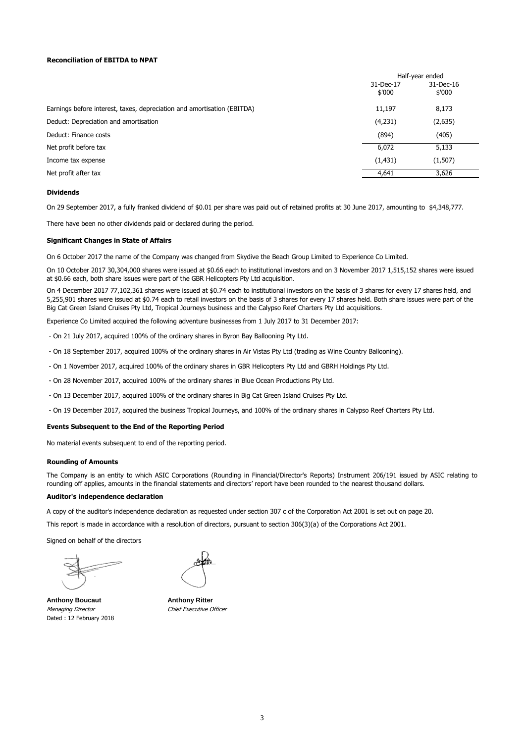#### **Reconciliation of EBITDA to NPAT**

|                                                                         | Half-year ended     |                        |
|-------------------------------------------------------------------------|---------------------|------------------------|
|                                                                         | 31-Dec-17<br>\$'000 | $31$ -Dec-16<br>\$'000 |
| Earnings before interest, taxes, depreciation and amortisation (EBITDA) | 11,197              | 8,173                  |
| Deduct: Depreciation and amortisation                                   | (4,231)             | (2,635)                |
| Deduct: Finance costs                                                   | (894)               | (405)                  |
| Net profit before tax                                                   | 6,072               | 5,133                  |
| Income tax expense                                                      | (1, 431)            | (1,507)                |
| Net profit after tax                                                    | 4,641               | 3,626                  |

#### **Dividends**

On 29 September 2017, a fully franked dividend of \$0.01 per share was paid out of retained profits at 30 June 2017, amounting to \$4,348,777.

There have been no other dividends paid or declared during the period.

#### **Significant Changes in State of Affairs**

On 6 October 2017 the name of the Company was changed from Skydive the Beach Group Limited to Experience Co Limited.

On 10 October 2017 30,304,000 shares were issued at \$0.66 each to institutional investors and on 3 November 2017 1,515,152 shares were issued at \$0.66 each, both share issues were part of the GBR Helicopters Pty Ltd acquisition.

On 4 December 2017 77,102,361 shares were issued at \$0.74 each to institutional investors on the basis of 3 shares for every 17 shares held, and 5,255,901 shares were issued at \$0.74 each to retail investors on the basis of 3 shares for every 17 shares held. Both share issues were part of the Big Cat Green Island Cruises Pty Ltd, Tropical Journeys business and the Calypso Reef Charters Pty Ltd acquisitions.

Experience Co Limited acquired the following adventure businesses from 1 July 2017 to 31 December 2017:

- On 21 July 2017, acquired 100% of the ordinary shares in Byron Bay Ballooning Pty Ltd.
- On 18 September 2017, acquired 100% of the ordinary shares in Air Vistas Pty Ltd (trading as Wine Country Ballooning).
- On 1 November 2017, acquired 100% of the ordinary shares in GBR Helicopters Pty Ltd and GBRH Holdings Pty Ltd.
- On 28 November 2017, acquired 100% of the ordinary shares in Blue Ocean Productions Pty Ltd.
- On 13 December 2017, acquired 100% of the ordinary shares in Big Cat Green Island Cruises Pty Ltd.
- On 19 December 2017, acquired the business Tropical Journeys, and 100% of the ordinary shares in Calypso Reef Charters Pty Ltd.

#### **Events Subsequent to the End of the Reporting Period**

No material events subsequent to end of the reporting period.

#### **Rounding of Amounts**

The Company is an entity to which ASIC Corporations (Rounding in Financial/Director's Reports) Instrument 206/191 issued by ASIC relating to rounding off applies, amounts in the financial statements and directors' report have been rounded to the nearest thousand dollars.

#### **Auditor's independence declaration**

A copy of the auditor's independence declaration as requested under section 307 c of the Corporation Act 2001 is set out on page 20.

This report is made in accordance with a resolution of directors, pursuant to section 306(3)(a) of the Corporations Act 2001.

Signed on behalf of the directors

**Anthony Boucaut Anthony Ritter** Managing Director **Chief Executive Officer** Dated : 12 February 2018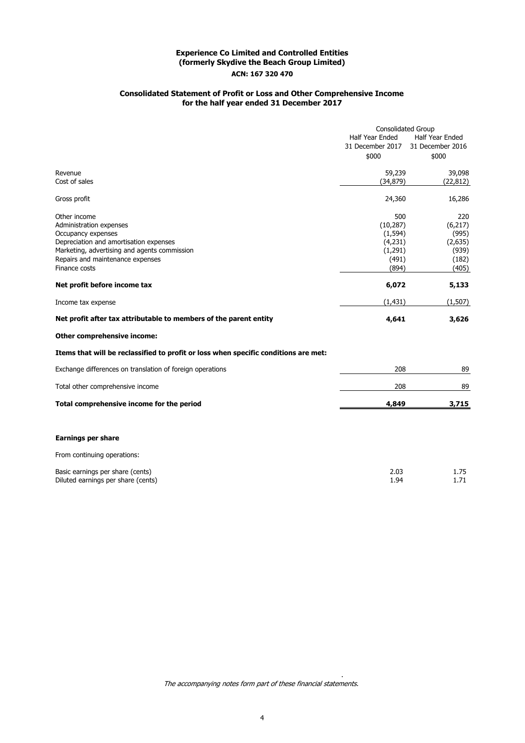## **Consolidated Statement of Profit or Loss and Other Comprehensive Income for the half year ended 31 December 2017**

|                                                                                     | <b>Consolidated Group</b> |                  |
|-------------------------------------------------------------------------------------|---------------------------|------------------|
|                                                                                     | Half Year Ended           | Half Year Ended  |
|                                                                                     | 31 December 2017          | 31 December 2016 |
|                                                                                     | \$000                     | \$000            |
| Revenue                                                                             | 59,239                    | 39,098           |
| Cost of sales                                                                       | (34, 879)                 | (22, 812)        |
| Gross profit                                                                        | 24,360                    | 16,286           |
| Other income                                                                        | 500                       | 220              |
| Administration expenses                                                             | (10, 287)                 | (6,217)          |
| Occupancy expenses                                                                  | (1, 594)                  | (995)            |
| Depreciation and amortisation expenses                                              | (4,231)                   | (2,635)          |
| Marketing, advertising and agents commission                                        | (1, 291)                  | (939)            |
| Repairs and maintenance expenses                                                    | (491)                     | (182)            |
| Finance costs                                                                       | (894)                     | (405)            |
| Net profit before income tax                                                        | 6,072                     | 5,133            |
| Income tax expense                                                                  | (1, 431)                  | (1,507)          |
| Net profit after tax attributable to members of the parent entity                   | 4,641                     | 3,626            |
| Other comprehensive income:                                                         |                           |                  |
| Items that will be reclassified to profit or loss when specific conditions are met: |                           |                  |
| Exchange differences on translation of foreign operations                           | 208                       | 89               |
| Total other comprehensive income                                                    | 208                       | 89               |
| Total comprehensive income for the period                                           | 4,849                     | 3,715            |
|                                                                                     |                           |                  |
| <b>Earnings per share</b>                                                           |                           |                  |
| From continuing operations:                                                         |                           |                  |
| Basic earnings per share (cents)<br>Diluted earnings per share (cents)              | 2.03<br>1.94              | 1.75<br>1.71     |
|                                                                                     |                           |                  |

The accompanying notes form part of these financial statements.

.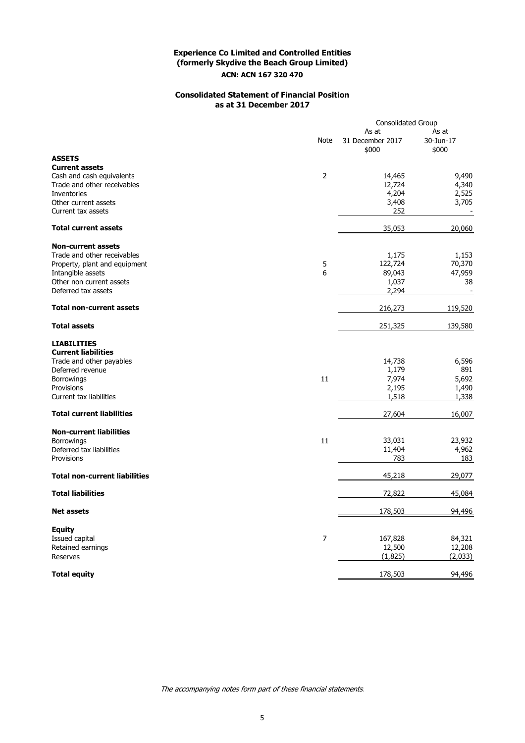## **Consolidated Statement of Financial Position as at 31 December 2017**

|                                                                         |                  | <b>Consolidated Group</b>          |                             |
|-------------------------------------------------------------------------|------------------|------------------------------------|-----------------------------|
|                                                                         | Note             | As at<br>31 December 2017<br>\$000 | As at<br>30-Jun-17<br>\$000 |
| <b>ASSETS</b><br><b>Current assets</b>                                  |                  |                                    |                             |
| Cash and cash equivalents<br>Trade and other receivables<br>Inventories | $\mathbf 2$      | 14,465<br>12,724<br>4,204          | 9,490<br>4,340<br>2,525     |
| Other current assets<br>Current tax assets                              |                  | 3,408<br>252                       | 3,705                       |
| <b>Total current assets</b>                                             |                  | 35,053                             | 20,060                      |
| <b>Non-current assets</b><br>Trade and other receivables                |                  |                                    |                             |
| Property, plant and equipment                                           | 5                | 1,175<br>122,724                   | 1,153<br>70,370             |
| Intangible assets                                                       | 6                | 89,043                             | 47,959                      |
| Other non current assets                                                |                  | 1,037                              | 38                          |
| Deferred tax assets                                                     |                  | 2,294                              |                             |
| <b>Total non-current assets</b>                                         |                  | 216,273                            | 119,520                     |
| <b>Total assets</b>                                                     |                  | 251,325                            | 139,580                     |
| <b>LIABILITIES</b>                                                      |                  |                                    |                             |
| <b>Current liabilities</b>                                              |                  |                                    |                             |
| Trade and other payables                                                |                  | 14,738                             | 6,596                       |
| Deferred revenue                                                        |                  | 1,179                              | 891                         |
| Borrowings<br>Provisions                                                | 11               | 7,974                              | 5,692                       |
| Current tax liabilities                                                 |                  | 2,195<br>1,518                     | 1,490<br>1,338              |
| <b>Total current liabilities</b>                                        |                  | 27,604                             | 16,007                      |
|                                                                         |                  |                                    |                             |
| <b>Non-current liabilities</b>                                          |                  |                                    |                             |
| Borrowings<br>Deferred tax liabilities                                  | 11               | 33,031<br>11,404                   | 23,932<br>4,962             |
| Provisions                                                              |                  | 783                                | 183                         |
| <b>Total non-current liabilities</b>                                    |                  | 45,218                             | 29,077                      |
| <b>Total liabilities</b>                                                |                  | 72,822                             | 45,084                      |
|                                                                         |                  |                                    |                             |
| <b>Net assets</b>                                                       |                  | 178,503                            | 94,496                      |
| <b>Equity</b>                                                           |                  |                                    |                             |
| Issued capital                                                          | $\boldsymbol{7}$ | 167,828                            | 84,321                      |
| Retained earnings<br>Reserves                                           |                  | 12,500<br>(1,825)                  | 12,208<br>(2,033)           |
| <b>Total equity</b>                                                     |                  | 178,503                            | 94,496                      |
|                                                                         |                  |                                    |                             |

The accompanying notes form part of these financial statements.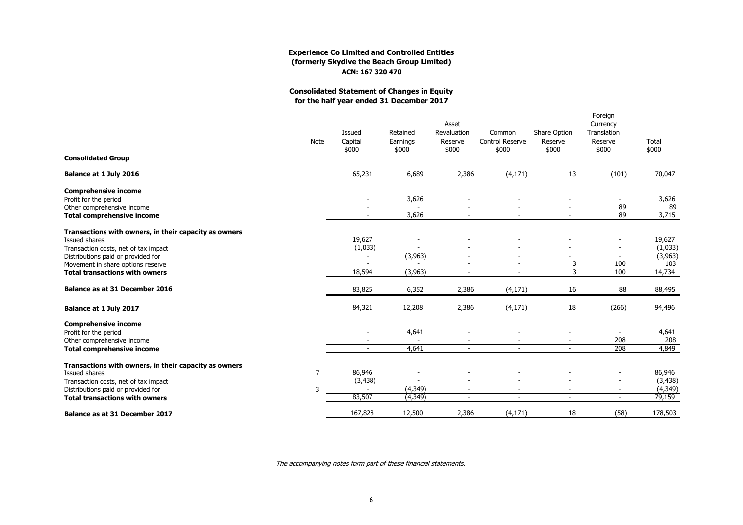## **Consolidated Statement of Changes in Equityfor the half year ended 31 December 2017**

|                                                                            | <b>Note</b>    | Issued<br>Capital<br>\$000 | Retained<br>Earnings<br>\$000 | Asset<br>Revaluation<br>Reserve<br>\$000 | Common<br><b>Control Reserve</b><br>\$000 | Share Option<br>Reserve<br>\$000 | Foreign<br>Currency<br>Translation<br>Reserve<br>\$000 | Total<br>\$000       |
|----------------------------------------------------------------------------|----------------|----------------------------|-------------------------------|------------------------------------------|-------------------------------------------|----------------------------------|--------------------------------------------------------|----------------------|
| <b>Consolidated Group</b>                                                  |                |                            |                               |                                          |                                           |                                  |                                                        |                      |
| Balance at 1 July 2016                                                     |                | 65,231                     | 6,689                         | 2,386                                    | (4, 171)                                  | 13                               | (101)                                                  | 70,047               |
| <b>Comprehensive income</b>                                                |                |                            |                               |                                          |                                           |                                  |                                                        |                      |
| Profit for the period                                                      |                |                            | 3,626<br>$\overline{a}$       |                                          |                                           |                                  |                                                        | 3,626                |
| Other comprehensive income<br><b>Total comprehensive income</b>            |                |                            | 3,626                         | $\blacksquare$                           |                                           | $\overline{\phantom{a}}$         | 89<br>89                                               | 89<br>3,715          |
| Transactions with owners, in their capacity as owners                      |                |                            |                               |                                          |                                           |                                  |                                                        |                      |
| <b>Issued shares</b>                                                       |                | 19,627                     |                               |                                          |                                           |                                  | $\overline{\phantom{a}}$                               | 19,627               |
| Transaction costs, net of tax impact                                       |                | (1,033)                    |                               |                                          |                                           |                                  |                                                        | (1,033)              |
| Distributions paid or provided for                                         |                |                            | (3,963)                       |                                          |                                           |                                  | $\overline{\phantom{a}}$                               | (3,963)              |
| Movement in share options reserve<br><b>Total transactions with owners</b> |                | 18,594                     | (3, 963)                      | $\sim$                                   | $\sim$                                    | 3<br>$\overline{3}$              | 100<br>100                                             | 103<br>14,734        |
|                                                                            |                |                            |                               |                                          |                                           |                                  |                                                        |                      |
| <b>Balance as at 31 December 2016</b>                                      |                | 83,825                     | 6,352                         | 2,386                                    | (4, 171)                                  | 16                               | 88                                                     | 88,495               |
| Balance at 1 July 2017                                                     |                | 84,321                     | 12,208                        | 2,386                                    | (4, 171)                                  | 18                               | (266)                                                  | 94,496               |
| <b>Comprehensive income</b>                                                |                |                            |                               |                                          |                                           |                                  |                                                        |                      |
| Profit for the period                                                      |                |                            | 4,641                         |                                          |                                           |                                  |                                                        | 4,641<br>208         |
| Other comprehensive income<br><b>Total comprehensive income</b>            |                | $\sim$                     | 4,641                         | $\sim$                                   |                                           | $\sim$                           | 208<br>208                                             | 4,849                |
|                                                                            |                |                            |                               |                                          |                                           |                                  |                                                        |                      |
| Transactions with owners, in their capacity as owners                      |                |                            |                               |                                          |                                           |                                  |                                                        |                      |
| Issued shares                                                              | $\overline{7}$ | 86,946                     |                               |                                          |                                           |                                  |                                                        | 86,946               |
| Transaction costs, net of tax impact<br>Distributions paid or provided for | 3              | (3, 438)                   | (4, 349)                      |                                          |                                           |                                  |                                                        | (3, 438)<br>(4, 349) |
| <b>Total transactions with owners</b>                                      |                | 83,507                     | (4, 349)                      | $\overline{\phantom{a}}$                 |                                           | Ξ                                | $\sim$                                                 | 79,159               |
| <b>Balance as at 31 December 2017</b>                                      |                | 167,828                    | 12,500                        | 2,386                                    | (4, 171)                                  | 18                               | (58)                                                   | 178,503              |
|                                                                            |                |                            |                               |                                          |                                           |                                  |                                                        |                      |

The accompanying notes form part of these financial statements.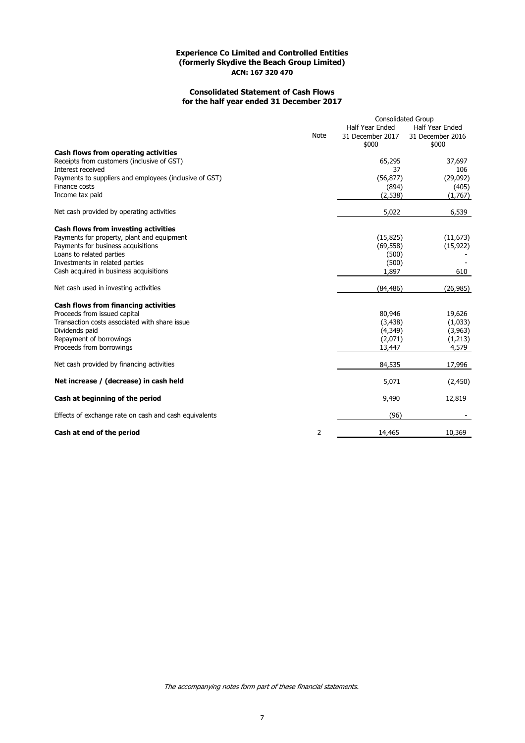## **Consolidated Statement of Cash Flows for the half year ended 31 December 2017**

|                                                                                    | <b>Note</b> | <b>Consolidated Group</b><br>Half Year Ended<br>31 December 2017<br>\$000 | <b>Half Year Ended</b><br>31 December 2016<br>\$000 |
|------------------------------------------------------------------------------------|-------------|---------------------------------------------------------------------------|-----------------------------------------------------|
| Cash flows from operating activities<br>Receipts from customers (inclusive of GST) |             | 65,295                                                                    | 37,697                                              |
| Interest received                                                                  |             | 37                                                                        | 106                                                 |
| Payments to suppliers and employees (inclusive of GST)                             |             | (56, 877)                                                                 | (29,092)                                            |
| Finance costs                                                                      |             | (894)                                                                     | (405)                                               |
| Income tax paid                                                                    |             | (2,538)                                                                   | (1,767)                                             |
| Net cash provided by operating activities                                          |             | 5,022                                                                     | 6,539                                               |
| Cash flows from investing activities                                               |             |                                                                           |                                                     |
| Payments for property, plant and equipment                                         |             | (15, 825)                                                                 | (11, 673)                                           |
| Payments for business acquisitions                                                 |             | (69, 558)                                                                 | (15, 922)                                           |
| Loans to related parties                                                           |             | (500)                                                                     |                                                     |
| Investments in related parties                                                     |             | (500)                                                                     |                                                     |
| Cash acquired in business acquisitions                                             |             | 1,897                                                                     | 610                                                 |
| Net cash used in investing activities                                              |             | (84, 486)                                                                 | (26, 985)                                           |
| <b>Cash flows from financing activities</b>                                        |             |                                                                           |                                                     |
| Proceeds from issued capital                                                       |             | 80,946                                                                    | 19,626                                              |
| Transaction costs associated with share issue                                      |             | (3,438)                                                                   | (1,033)                                             |
| Dividends paid                                                                     |             | (4,349)                                                                   | (3,963)                                             |
| Repayment of borrowings                                                            |             | (2,071)                                                                   | (1,213)                                             |
| Proceeds from borrowings                                                           |             | 13,447                                                                    | 4,579                                               |
| Net cash provided by financing activities                                          |             | 84,535                                                                    | 17,996                                              |
| Net increase / (decrease) in cash held                                             |             | 5,071                                                                     | (2,450)                                             |
| Cash at beginning of the period                                                    |             | 9,490                                                                     | 12,819                                              |
| Effects of exchange rate on cash and cash equivalents                              |             | (96)                                                                      |                                                     |
| Cash at end of the period                                                          | 2           | 14,465                                                                    | 10,369                                              |

The accompanying notes form part of these financial statements.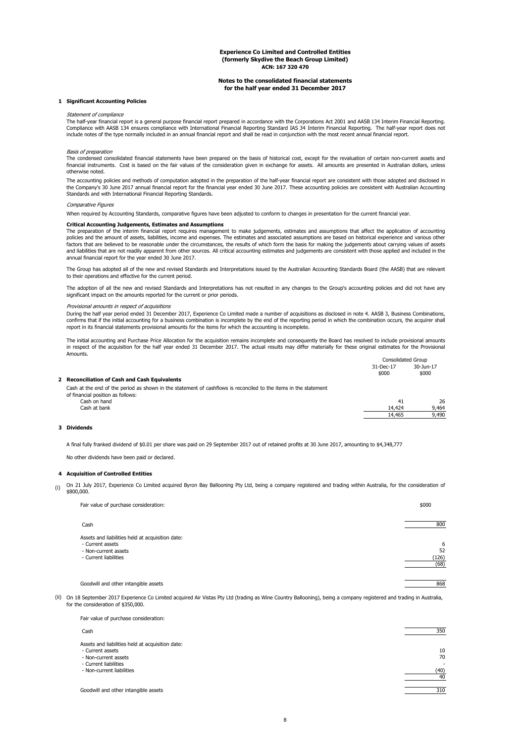#### **Notes to the consolidated financial statements for the half year ended 31 December 2017**

#### **1 Significant Accounting Policies**

#### Statement of compliance

The half-year financial report is a general purpose financial report prepared in accordance with the Corporations Act 2001 and AASB 134 Interim Financial Reporting. Compliance with AASB 134 ensures compliance with International Financial Reporting Standard IAS 34 Interim Financial Reporting. The half-year report does not include notes of the type normally included in an annual financial report and shall be read in conjunction with the most recent annual financial report.

#### Basis of preparation

The condensed consolidated financial statements have been prepared on the basis of historical cost, except for the revaluation of certain non-current assets and financial instruments. Cost is based on the fair values of the consideration given in exchange for assets. All amounts are presented in Australian dollars, unless otherwise noted.

The accounting policies and methods of computation adopted in the preparation of the half-year financial report are consistent with those adopted and disclosed in the Company's 30 June 2017 annual financial report for the financial year ended 30 June 2017. These accounting policies are consistent with Australian Accounting<br>Standards and with International Financial Reporting Standar

#### Comparative Figures

When required by Accounting Standards, comparative figures have been adjusted to conform to changes in presentation for the current financial year.

#### **Critical Accounting Judgements, Estimates and Assumptions**

The preparation of the interim financial report requires management to make judgements, estimates and assumptions that affect the application of accounting policies and the amount of assets, liabilities, income and expenses. The estimates and associated assumptions are based on historical experience and various other factors that are believed to be reasonable under the circumstances, the results of which form the basis for making the judgements about carrying values of assets and liabilities that are not readily apparent from other sources. All critical accounting estimates and judgements are consistent with those applied and included in the annual financial report for the year ended 30 June 2017.

The Group has adopted all of the new and revised Standards and Interpretations issued by the Australian Accounting Standards Board (the AASB) that are relevant to their operations and effective for the current period.

The adoption of all the new and revised Standards and Interpretations has not resulted in any changes to the Group's accounting policies and did not have any significant impact on the amounts reported for the current or prior periods.

#### Provisional amounts in respect of acquisitions

During the half year period ended 31 December 2017, Experience Co Limited made a number of acquisitions as disclosed in note 4. AASB 3, Business Combinations, confirms that if the initial accounting for a business combination is incomplete by the end of the reporting period in which the combination occurs, the acquirer shall report in its financial statements provisional amounts for the items for which the accounting is incomplete.

Consolidated Group The initial accounting and Purchase Price Allocation for the acquisition remains incomplete and consequently the Board has resolved to include provisional amounts in respect of the acquisition for the half year ended 31 December 2017. The actual results may differ materially for these original estimates for the Provisional Amounts.

|                                                                                                                  | consonauca oroap |           |  |
|------------------------------------------------------------------------------------------------------------------|------------------|-----------|--|
|                                                                                                                  | 31-Dec-17        | 30-Jun-17 |  |
|                                                                                                                  | \$000            | \$000     |  |
| 2 Reconciliation of Cash and Cash Equivalents                                                                    |                  |           |  |
| Cash at the end of the period as shown in the statement of cashflows is reconciled to the items in the statement |                  |           |  |

| of financial position as follows: |        |       |
|-----------------------------------|--------|-------|
| Cash on hand                      | 41     | 26    |
| Cash at bank                      | 14,424 | 9.464 |
|                                   | 14,465 | 9,490 |
|                                   |        |       |

#### **3 Dividends**

A final fully franked dividend of \$0.01 per share was paid on 29 September 2017 out of retained profits at 30 June 2017, amounting to \$4,348,777

No other dividends have been paid or declared.

#### **4 Acquisition of Controlled Entities**

(i) On 21 July 2017, Experience Co Limited acquired Byron Bay Ballooning Pty Ltd, being a company registered and trading within Australia, for the consideration of \$800,000.

| Fair value of purchase consideration:            | \$000 |
|--------------------------------------------------|-------|
| Cash                                             | 800   |
| Assets and liabilities held at acquisition date: |       |
| - Current assets                                 | 6     |
| - Non-current assets                             | 52    |
| - Current liabilities                            | (126) |
|                                                  | (68)  |
|                                                  |       |
| Goodwill and other intangible assets             | 868   |

(ii) On 18 September 2017 Experience Co Limited acquired Air Vistas Pty Ltd (trading as Wine Country Ballooning), being a company registered and trading in Australia, for the consideration of \$350,000.

| Fair value of purchase consideration:            |      |
|--------------------------------------------------|------|
| Cash                                             | 350  |
| Assets and liabilities held at acquisition date: |      |
| - Current assets                                 | 10   |
| - Non-current assets                             | 70   |
| - Current liabilities                            | ۰    |
| - Non-current liabilities                        | (40) |
|                                                  | 40   |
|                                                  |      |
| Goodwill and other intangible assets             | 310  |

8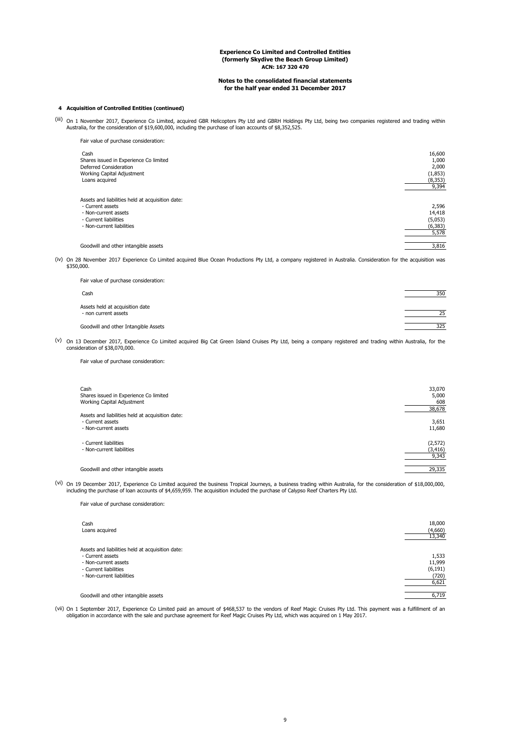#### **Notes to the consolidated financial statements for the half year ended 31 December 2017**

#### **4 Acquisition of Controlled Entities (continued)**

(iii) On 1 November 2017, Experience Co Limited, acquired GBR Helicopters Pty Ltd and GBRH Holdings Pty Ltd, being two companies registered and trading within Australia, for the consideration of \$19,600,000, including the

| 16,600<br>1,000 |
|-----------------|
| 2,000           |
| (1,853)         |
| (8, 353)        |
| 9,394           |
|                 |
| 2,596           |
| 14,418          |
| (5,053)         |
| (6, 383)        |
| 5,578           |
| 3,816           |
|                 |

(iv) On 28 November 2017 Experience Co Limited acquired Blue Ocean Productions Pty Ltd, a company registered in Australia. Consideration for the acquisition was \$350,000.

| Fair value of purchase consideration:                   |     |
|---------------------------------------------------------|-----|
| Cash                                                    | 350 |
| Assets held at acquisition date<br>- non current assets | 25  |
| Goodwill and other Intangible Assets                    | 325 |

(v) On 13 December 2017, Experience Co Limited acquired Big Cat Green Island Cruises Pty Ltd, being a company registered and trading within Australia, for the consideration of \$38,070,000.

Fair value of purchase consideration:

| Cash<br>Shares issued in Experience Co limited<br>Working Capital Adjustment                 | 33,070<br>5,000<br>608<br>38,678 |
|----------------------------------------------------------------------------------------------|----------------------------------|
| Assets and liabilities held at acquisition date:<br>- Current assets<br>- Non-current assets | 3,651<br>11,680                  |
| - Current liabilities<br>- Non-current liabilities                                           | (2, 572)<br>(3, 416)<br>9,343    |
| Goodwill and other intangible assets                                                         | 29,335                           |

<sup>(vi)</sup> On 19 December 2017, Experience Co Limited acquired the business Tropical Journeys, a business trading within Australia, for the consideration of \$18,000,000, including the purchase of loan accounts of \$4,659,959. T

Fair value of purchase consideration:

| Cash<br>Loans acquired                                                                                                                             | 18,000<br>(4,660)<br>13,340                   |
|----------------------------------------------------------------------------------------------------------------------------------------------------|-----------------------------------------------|
| Assets and liabilities held at acquisition date:<br>- Current assets<br>- Non-current assets<br>- Current liabilities<br>- Non-current liabilities | 1,533<br>11,999<br>(6, 191)<br>(720)<br>6,621 |
| Goodwill and other intangible assets                                                                                                               | 6,719                                         |

vii) On 1 September 2017, Experience Co Limited paid an amount of \$468,537 to the vendors of Reef Magic Cruises Pty Ltd. This payment was a fulfillment of an obligation in accordance with the sale and purchase agreement fo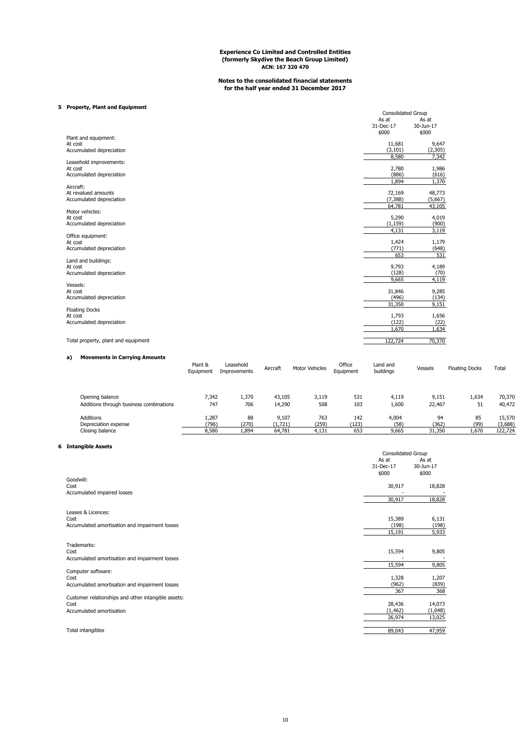#### **Notes to the consolidated financial statements for the half year ended 31 December 2017**

## **5 Property, Plant and Equipment**

|                                     | <b>Consolidated Group</b> |           |
|-------------------------------------|---------------------------|-----------|
|                                     | As at                     | As at     |
|                                     | 31-Dec-17                 | 30-Jun-17 |
|                                     | \$000                     | \$000     |
| Plant and equipment:                |                           |           |
| At cost                             | 11,681                    | 9,647     |
| Accumulated depreciation            | (3, 101)                  | (2,305)   |
|                                     | 8,580                     | 7,342     |
| Leasehold improvements:             |                           |           |
| At cost                             | 2,780                     | 1,986     |
| Accumulated depreciation            | (886)                     | (616)     |
|                                     | 1.894                     | 1,370     |
| Aircraft:                           |                           |           |
| At revalued amounts                 | 72,169                    | 48,773    |
| Accumulated depreciation            | (7, 388)                  | (5,667)   |
|                                     | 64.781                    | 43,105    |
| Motor vehicles:                     |                           |           |
| At cost                             | 5,290                     | 4,019     |
| Accumulated depreciation            | (1, 159)                  | (900)     |
|                                     | 4.131                     | 3,119     |
| Office equipment:                   |                           |           |
| At cost                             | 1,424                     | 1,179     |
| Accumulated depreciation            | (771)                     | (648)     |
|                                     | 653                       | 531       |
| Land and buildings:                 |                           |           |
| At cost                             | 9,793                     | 4,189     |
| Accumulated depreciation            | (128)                     | (70)      |
|                                     | 9,665                     | 4,119     |
| Vessels:                            |                           |           |
| At cost                             | 31,846                    | 9,285     |
| Accumulated depreciation            | (496)                     | (134)     |
|                                     | 31,350                    | 9,151     |
| <b>Floating Docks</b>               |                           |           |
| At cost                             | 1,793                     | 1,656     |
| Accumulated depreciation            | (122)                     | (22)      |
|                                     | 1,670                     | 1,634     |
|                                     |                           |           |
| Total property, plant and equipment | 122,724                   | 70,370    |

## **a) Movements in Carrying Amounts**

|                                         | Plant &<br>Equipment | Leasehold<br>Improvements | Aircraft | <b>Motor Vehicles</b> | Office<br>Equipment | Land and<br>buildings | Vessels | <b>Floating Docks</b> | Total   |
|-----------------------------------------|----------------------|---------------------------|----------|-----------------------|---------------------|-----------------------|---------|-----------------------|---------|
| Opening balance                         | 7.342                | 1,370                     | 43,105   | 3,119                 | 531                 | 4.119                 | 9.151   | 1,634                 | 70,370  |
| Additions through business combinations | 747                  | 706                       | 14,290   | 508                   | 103                 | 1,600                 | 22,467  | 51                    | 40,472  |
| <b>Additions</b>                        | 1,287                | 88                        | 9,107    | 763                   | 142                 | 4,004                 | 94      | 85                    | 15,570  |
| Depreciation expense                    | (796)                | (270)                     | (1,721)  | (259)                 | (123)               | (58)                  | (362)   | (99)                  | (3,688) |
| Closing balance                         | 8.580                | 1,894                     | 64,781   | 4,131                 | 653                 | 9,665                 | 31,350  | 1,670                 | 122.724 |

#### **6 Intangible Assets**

| <b>Intangible Assets</b>                                                                | <b>Consolidated Group</b>       |                                |
|-----------------------------------------------------------------------------------------|---------------------------------|--------------------------------|
|                                                                                         | As at<br>31-Dec-17<br>\$000     | As at<br>30-Jun-17<br>\$000    |
| Goodwill:<br>Cost<br>Accumulated impaired losses                                        | 30,917                          | 18,828                         |
|                                                                                         | 30,917                          | 18,828                         |
| Leases & Licences:<br>Cost<br>Accumulated amortisation and impairment losses            | 15,389<br>(198)<br>15,191       | 6,131<br>(198)<br>5,933        |
| Trademarks:<br>Cost<br>Accumulated amortisation and impairment losses                   | 15,594                          | 9,805                          |
| Computer software:<br>Cost<br>Accumulated amortisation and impairment losses            | 15,594<br>1,328<br>(962)<br>367 | 9,805<br>1,207<br>(839)<br>368 |
| Customer relationships and other intangible assets:<br>Cost<br>Accumulated amortisation | 28,436<br>(1, 462)<br>26,974    | 14,073<br>(1,048)<br>13,025    |
| Total intangibles                                                                       | 89,043                          | 47,959                         |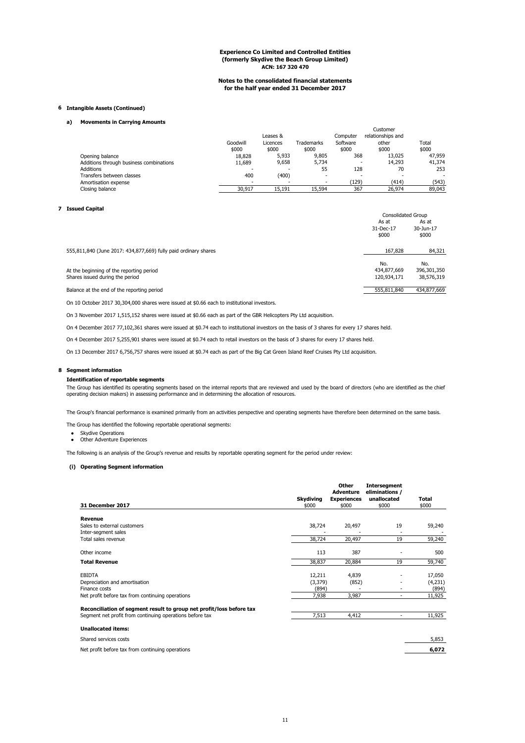#### **Notes to the consolidated financial statements for the half year ended 31 December 2017**

#### **6 Intangible Assets (Continued)**

#### **a) Movements in Carrying Amounts**

|                                         |          |          |                          |          | Customer          |        |
|-----------------------------------------|----------|----------|--------------------------|----------|-------------------|--------|
|                                         |          | Leases & |                          | Computer | relationships and |        |
|                                         | Goodwill | Licences | Trademarks               | Software | other             | Total  |
|                                         | \$000    | \$000    | \$000                    | \$000    | \$000             | \$000  |
| Opening balance                         | 18,828   | 5,933    | 9,805                    | 368      | 13,025            | 47,959 |
| Additions through business combinations | 11.689   | 9,658    | 5.734                    | $\,$     | 14,293            | 41,374 |
| <b>Additions</b>                        |          | ٠        | 55                       | 128      | 70                | 253    |
| Transfers between classes               | 400      | (400)    | $\overline{\phantom{a}}$ | $\,$     | $\sim$            | ۰      |
| Amortisation expense                    |          |          |                          | (129)    | (414)             | (543)  |
| Closing balance                         | 30.917   | 15.191   | 15,594                   | 367      | 26.974            | 89,043 |
|                                         |          |          |                          |          |                   |        |

#### **7 Issued Capital**

|                                                                 | <b>Consolidated Group</b>   |                             |
|-----------------------------------------------------------------|-----------------------------|-----------------------------|
|                                                                 | As at<br>31-Dec-17<br>\$000 | As at<br>30-Jun-17<br>\$000 |
| 555,811,840 (June 2017: 434,877,669) fully paid ordinary shares | 167.828                     | 84,321                      |
|                                                                 | No.                         | No.                         |
| At the beginning of the reporting period                        | 434,877,669                 | 396,301,350                 |
| Shares issued during the period                                 | 120.934.171                 | 38,576,319                  |
| Balance at the end of the reporting period                      | 555.811.840                 | 434,877,669                 |
|                                                                 |                             |                             |

On 10 October 2017 30,304,000 shares were issued at \$0.66 each to institutional investors.

On 3 November 2017 1,515,152 shares were issued at \$0.66 each as part of the GBR Helicopters Pty Ltd acquisition.

On 4 December 2017 77,102,361 shares were issued at \$0.74 each to institutional investors on the basis of 3 shares for every 17 shares held.

On 4 December 2017 5,255,901 shares were issued at \$0.74 each to retail investors on the basis of 3 shares for every 17 shares held.

On 13 December 2017 6,756,757 shares were issued at \$0.74 each as part of the Big Cat Green Island Reef Cruises Pty Ltd acquisition.

#### **8 Segment information**

#### **Identification of reportable segments**

The Group has identified its operating segments based on the internal reports that are reviewed and used by the board of directors (who are identified as the chief operating decision makers) in assessing performance and in determining the allocation of resources.

The Group's financial performance is examined primarily from an activities perspective and operating segments have therefore been determined on the same basis.

The Group has identified the following reportable operational segments:

- Skydive Operations
- Other Adventure Experiences

The following is an analysis of the Group's revenue and results by reportable operating segment for the period under review:

#### **(i) Operating Segment information**

|                                                                      |                  | Other<br>Adventure | <b>Intersegment</b><br>eliminations / |         |
|----------------------------------------------------------------------|------------------|--------------------|---------------------------------------|---------|
|                                                                      | <b>Skydiving</b> | <b>Experiences</b> | unallocated                           | Total   |
| 31 December 2017                                                     | \$000            | \$000              | \$000                                 | \$000   |
| Revenue                                                              |                  |                    |                                       |         |
| Sales to external customers                                          | 38,724           | 20,497             | 19                                    | 59,240  |
| Inter-segment sales                                                  |                  |                    |                                       |         |
| Total sales revenue                                                  | 38,724           | 20,497             | 19                                    | 59,240  |
| Other income                                                         | 113              | 387                |                                       | 500     |
| <b>Total Revenue</b>                                                 | 38,837           | 20,884             | 19                                    | 59,740  |
| <b>EBIDTA</b>                                                        | 12,211           | 4,839              |                                       | 17,050  |
| Depreciation and amortisation                                        | (3,379)          | (852)              |                                       | (4,231) |
| Finance costs                                                        | (894)            |                    | ٠                                     | (894)   |
| Net profit before tax from continuing operations                     | 7,938            | 3,987              | ٠                                     | 11,925  |
| Reconciliation of segment result to group net profit/loss before tax |                  |                    |                                       |         |
| Segment net profit from continuing operations before tax             | 7,513            | 4,412              | ۰.                                    | 11,925  |
| <b>Unallocated items:</b>                                            |                  |                    |                                       |         |
| Shared services costs                                                |                  |                    |                                       | 5,853   |
| Net profit before tax from continuing operations                     |                  |                    |                                       | 6,072   |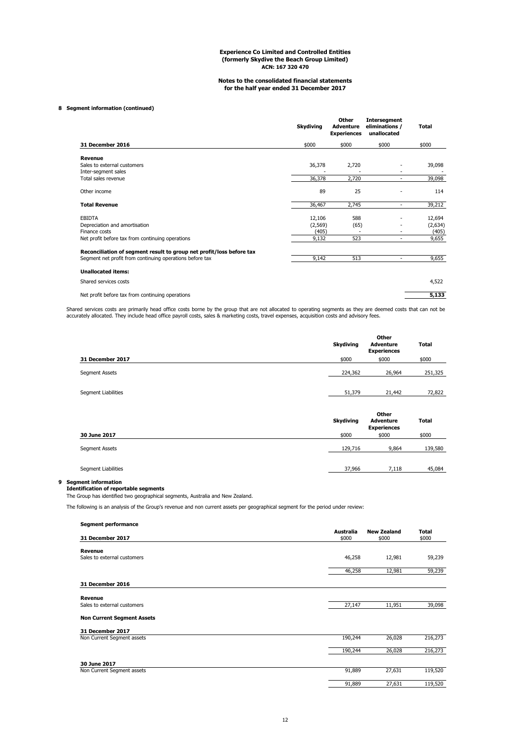#### **Notes to the consolidated financial statements for the half year ended 31 December 2017**

#### **8 Segment information (continued)**

|                                                                                                                                  | <b>Skydiving</b>            | Other<br><b>Adventure</b><br><b>Experiences</b> | <b>Intersegment</b><br>eliminations /<br>unallocated | Total                      |
|----------------------------------------------------------------------------------------------------------------------------------|-----------------------------|-------------------------------------------------|------------------------------------------------------|----------------------------|
| 31 December 2016                                                                                                                 | \$000                       | \$000                                           | \$000                                                | \$000                      |
| Revenue<br>Sales to external customers<br>Inter-segment sales                                                                    | 36,378                      | 2,720                                           |                                                      | 39,098                     |
| Total sales revenue                                                                                                              | 36,378                      | 2,720                                           | ۰                                                    | 39,098                     |
| Other income                                                                                                                     | 89                          | 25                                              |                                                      | 114                        |
| <b>Total Revenue</b>                                                                                                             | 36,467                      | 2,745                                           | $\overline{\phantom{a}}$                             | 39,212                     |
| <b>EBIDTA</b><br>Depreciation and amortisation<br>Finance costs                                                                  | 12,106<br>(2, 569)<br>(405) | 588<br>(65)<br>٠                                |                                                      | 12,694<br>(2,634)<br>(405) |
| Net profit before tax from continuing operations                                                                                 | 9,132                       | 523                                             | ۰                                                    | 9,655                      |
| Reconciliation of segment result to group net profit/loss before tax<br>Segment net profit from continuing operations before tax | 9,142                       | 513                                             | ٠                                                    | 9,655                      |
| <b>Unallocated items:</b>                                                                                                        |                             |                                                 |                                                      |                            |
| Shared services costs                                                                                                            |                             |                                                 |                                                      | 4,522                      |
| Net profit before tax from continuing operations                                                                                 |                             |                                                 |                                                      | 5,133                      |

Shared services costs are primarily head office costs borne by the group that are not allocated to operating segments as they are deemed costs that can not be<br>accurately allocated. They include head office payroll costs, s

|                       | <b>Skydiving</b> | Other<br><b>Adventure</b><br><b>Experiences</b> | <b>Total</b> |
|-----------------------|------------------|-------------------------------------------------|--------------|
| 31 December 2017      | \$000            | \$000                                           | \$000        |
| <b>Segment Assets</b> | 224,362          | 26,964                                          | 251,325      |
|                       |                  |                                                 |              |
| Segment Liabilities   | 51,379           | 21,442                                          | 72,822       |
|                       |                  | 0 <sub>ther</sub>                               |              |

|                       | <b>Skydiving</b> | vuel<br><b>Total</b><br><b>Adventure</b><br><b>Experiences</b> |         |  |  |
|-----------------------|------------------|----------------------------------------------------------------|---------|--|--|
| 30 June 2017          | \$000            | \$000                                                          | \$000   |  |  |
| <b>Segment Assets</b> | 129,716          | 9,864                                                          | 139,580 |  |  |
| Segment Liabilities   | 37,966           | 7.118                                                          | 45,084  |  |  |

#### **9 Segment information**

#### **Identification of reportable segments**

The Group has identified two geographical segments, Australia and New Zealand.

The following is an analysis of the Group's revenue and non current assets per geographical segment for the period under review:

| <b>Segment performance</b>             |                           |                             |                |
|----------------------------------------|---------------------------|-----------------------------|----------------|
| 31 December 2017                       | <b>Australia</b><br>\$000 | <b>New Zealand</b><br>\$000 | Total<br>\$000 |
|                                        |                           |                             |                |
| Revenue<br>Sales to external customers | 46,258                    | 12,981                      | 59,239         |
|                                        | 46,258                    | 12,981                      | 59,239         |
| 31 December 2016                       |                           |                             |                |
|                                        |                           |                             |                |
| Revenue<br>Sales to external customers | 27,147                    | 11,951                      | 39,098         |
| <b>Non Current Segment Assets</b>      |                           |                             |                |
| 31 December 2017                       |                           |                             |                |
| Non Current Segment assets             | 190,244                   | 26,028                      | 216,273        |
|                                        | 190,244                   | 26,028                      | 216,273        |
| 30 June 2017                           |                           |                             |                |
| Non Current Segment assets             | 91,889                    | 27,631                      | 119,520        |
|                                        | 91,889                    | 27,631                      | 119,520        |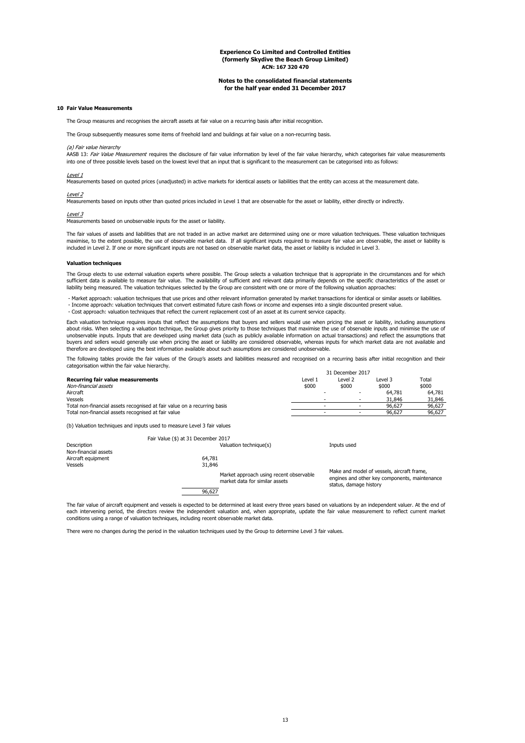#### **Notes to the consolidated financial statements for the half year ended 31 December 2017**

#### **10 Fair Value Measurements**

The Group measures and recognises the aircraft assets at fair value on a recurring basis after initial recognition.

The Group subsequently measures some items of freehold land and buildings at fair value on a non-recurring basis.

## (a) Fair value hierarchy

AASB 13: Fair Value Measurement requires the disclosure of fair value information by level of the fair value hierarchy, which categorises fair value measurements into one of three possible levels based on the lowest level that an input that is significant to the measurement can be categorised into as follows:

Level 1<br>Measurements based on quoted prices (unadjusted) in active markets for identical assets or liabilities that the entity can access at the measurement date.

<u>Level 2</u><br>Measurements based on inputs other than quoted prices included in Level 1 that are observable for the asset or liability, either directly or indirectly.

#### Level 3

Measurements based on unobservable inputs for the asset or liability.

The fair values of assets and liabilities that are not traded in an active market are determined using one or more valuation techniques. These valuation techniques<br>maximise, to the extent possible, the use of observable ma included in Level 2. If one or more significant inputs are not based on observable market data, the asset or liability is included in Level 3.

#### **Valuation techniques**

The Group elects to use external valuation experts where possible. The Group selects a valuation technique that is appropriate in the circumstances and for which sufficient data is available to measure fair value. The availability of sufficient and relevant data primarily depends on the specific characteristics of the asset or liability being measured. The valuation techniques selected by the Group are consistent with one or more of the following valuation approaches:

 - Market approach: valuation techniques that use prices and other relevant information generated by market transactions for identical or similar assets or liabilities. - Income approach: valuation techniques that convert estimated future cash flows or income and expenses into a single discounted present value. - Cost approach: valuation techniques that reflect the current replacement cost of an asset at its current service capacity.

Each valuation technique requires inputs that reflect the assumptions that buyers and sellers would use when pricing the asset or liability, including assumptions about risks. When selecting a valuation technique, the Group gives priority to those techniques that maximise the use of observable inputs and minimise the use of unobservable inputs. Inputs that are developed using market data (such as publicly available information on actual transactions) and reflect the assumptions that buyers and sellers would generally use when pricing the asset or liability are considered observable, whereas inputs for which market data are not available and therefore are developed using the best information available about such assumptions are considered unobservable.

The following tables provide the fair values of the Group's assets and liabilities measured and recognised on a recurring basis after initial recognition and their categorisation within the fair value hierarchy. 31 December 2017

|                                                                          | <b>JI DECENTER ZUIT</b> |         |         |        |
|--------------------------------------------------------------------------|-------------------------|---------|---------|--------|
| Recurring fair value measurements                                        | Level 1                 | Level 2 | Level 3 | Total  |
| Non-financial assets                                                     | \$000                   | \$000   | \$000   | \$000  |
| Aircraft                                                                 |                         |         | 64,781  | 64.781 |
| Vessels                                                                  |                         |         | 31,846  | 31,846 |
| Total non-financial assets recognised at fair value on a recurring basis |                         |         | 96.627  | 96.627 |
| Total non-financial assets recognised at fair value                      |                         |         | 96.627  | 96.627 |
| (b) Valuation techniques and inputs used to measure Level 3 fair values  |                         |         |         |        |

|                      | Fair Value (\$) at 31 December 2017 |                                                                           |                                                                                                                       |
|----------------------|-------------------------------------|---------------------------------------------------------------------------|-----------------------------------------------------------------------------------------------------------------------|
| Description          |                                     | Valuation technique(s)                                                    | Inputs used                                                                                                           |
| Non-financial assets |                                     |                                                                           |                                                                                                                       |
| Aircraft equipment   | 64,781                              |                                                                           |                                                                                                                       |
| Vessels              | 31,846                              |                                                                           |                                                                                                                       |
|                      |                                     | Market approach using recent observable<br>market data for similar assets | Make and model of vessels, aircraft frame,<br>engines and other key components, maintenance<br>status, damage history |
|                      | 96 627                              |                                                                           |                                                                                                                       |

The fair value of aircraft equipment and vessels is expected to be determined at least every three years based on valuations by an independent valuer. At the end of each intervening period, the directors review the independent valuation and, when appropriate, update the fair value measurement to reflect current market<br>conditions using a range of valuation techniques, including recent

There were no changes during the period in the valuation techniques used by the Group to determine Level 3 fair values.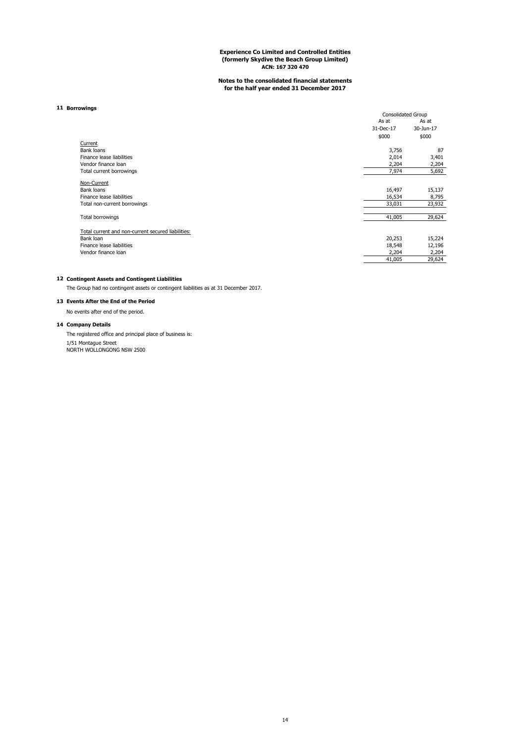## **Notes to the consolidated financial statements for the half year ended 31 December 2017**

#### **11 Borrowings**

|                                                    | <b>Consolidated Group</b> |           |
|----------------------------------------------------|---------------------------|-----------|
|                                                    | As at                     | As at     |
|                                                    | 31-Dec-17                 | 30-Jun-17 |
|                                                    | \$000                     | \$000     |
| Current                                            |                           |           |
| Bank loans                                         | 3,756                     | 87        |
| Finance lease liabilities                          | 2,014                     | 3,401     |
| Vendor finance loan                                | 2,204                     | 2,204     |
| Total current borrowings                           | 7,974                     | 5,692     |
| Non-Current                                        |                           |           |
| Bank loans                                         | 16,497                    | 15,137    |
| Finance lease liabilities                          | 16,534                    | 8,795     |
| Total non-current borrowings                       | 33,031                    | 23,932    |
| <b>Total borrowings</b>                            | 41,005                    | 29,624    |
| Total current and non-current secured liabilities: |                           |           |
| Bank loan                                          | 20,253                    | 15,224    |
| Finance lease liabilities                          | 18,548                    | 12,196    |
| Vendor finance loan                                | 2,204                     | 2,204     |
|                                                    | 41,005                    | 29,624    |

## **12 Contingent Assets and Contingent Liabilities**

The Group had no contingent assets or contingent liabilities as at 31 December 2017.

## **13 Events After the End of the Period**

No events after end of the period.

#### **14 Company Details**

1/51 Montague Street<br>NORTH WOLLONGONG NSW 2500 The registered office and principal place of business is: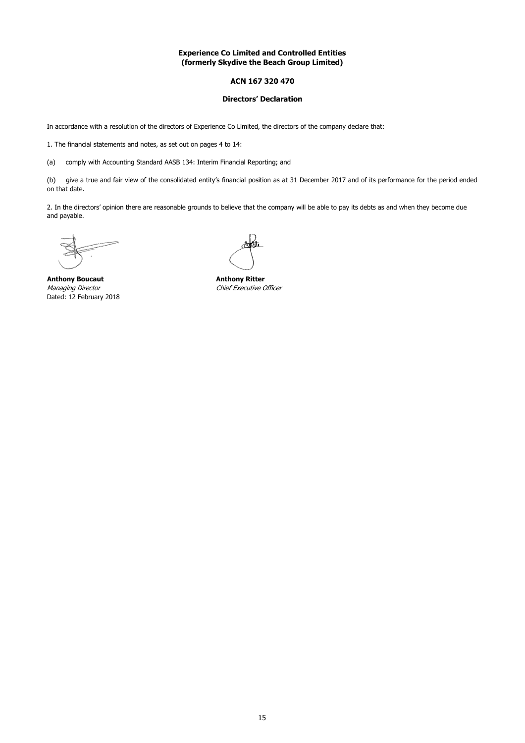## **ACN 167 320 470**

### **Directors' Declaration**

In accordance with a resolution of the directors of Experience Co Limited, the directors of the company declare that:

1. The financial statements and notes, as set out on pages 4 to 14:

(a) comply with Accounting Standard AASB 134: Interim Financial Reporting; and

(b) give a true and fair view of the consolidated entity's financial position as at 31 December 2017 and of its performance for the period ended on that date.

2. In the directors' opinion there are reasonable grounds to believe that the company will be able to pay its debts as and when they become due and payable.

**Anthony Boucaut Anthony Ritter** Managing Director Chief Executive Officer Dated: 12 February 2018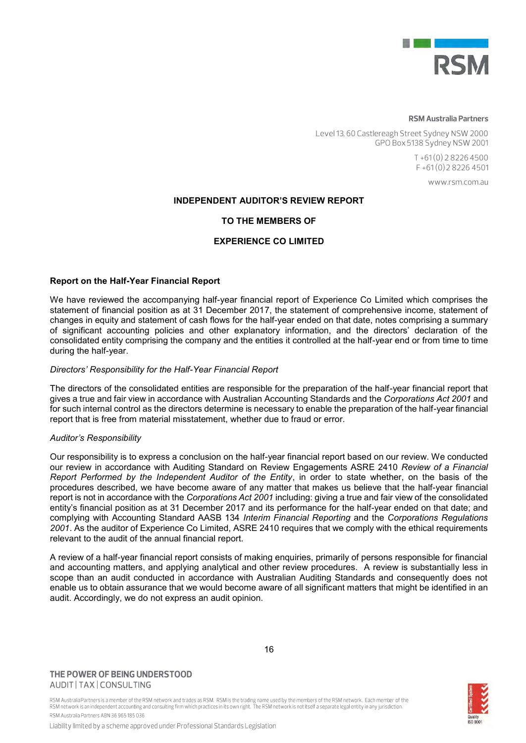

## **RSM Australia Partners**

Level 13, 60 Castlereagh Street Sydney NSW 2000 GPO Box 5138 Sydney NSW 2001

> $T + 61(0)$  2 8226 4500  $F + 61(0)$  2 8 2 2 6 4 5 0 1

> > www.rsm.com.au

## **INDEPENDENT AUDITOR'S REVIEW REPORT**

## **TO THE MEMBERS OF**

## **EXPERIENCE CO LIMITED**

## **Report on the Half-Year Financial Report**

We have reviewed the accompanying half-year financial report of Experience Co Limited which comprises the statement of financial position as at 31 December 2017, the statement of comprehensive income, statement of changes in equity and statement of cash flows for the half-year ended on that date, notes comprising a summary of significant accounting policies and other explanatory information, and the directors' declaration of the consolidated entity comprising the company and the entities it controlled at the half-year end or from time to time during the half-year.

## *Directors' Responsibility for the Half-Year Financial Report*

The directors of the consolidated entities are responsible for the preparation of the half-year financial report that gives a true and fair view in accordance with Australian Accounting Standards and the *Corporations Act 2001* and for such internal control as the directors determine is necessary to enable the preparation of the half-year financial report that is free from material misstatement, whether due to fraud or error.

## *Auditor's Responsibility*

Our responsibility is to express a conclusion on the half-year financial report based on our review. We conducted our review in accordance with Auditing Standard on Review Engagements ASRE 2410 *Review of a Financial Report Performed by the Independent Auditor of the Entity*, in order to state whether, on the basis of the procedures described, we have become aware of any matter that makes us believe that the half-year financial report is not in accordance with the *Corporations Act 2001* including: giving a true and fair view of the consolidated entity's financial position as at 31 December 2017 and its performance for the half-year ended on that date; and complying with Accounting Standard AASB 134 *Interim Financial Reporting* and the *Corporations Regulations 2001*. As the auditor of Experience Co Limited, ASRE 2410 requires that we comply with the ethical requirements relevant to the audit of the annual financial report.

A review of a half-year financial report consists of making enquiries, primarily of persons responsible for financial and accounting matters, and applying analytical and other review procedures. A review is substantially less in scope than an audit conducted in accordance with Australian Auditing Standards and consequently does not enable us to obtain assurance that we would become aware of all significant matters that might be identified in an audit. Accordingly, we do not express an audit opinion.

## THE POWER OF BEING UNDERSTOOD AUDIT | TAX | CONSULTING

RSM Australia Partnersis a member of the RSM network and trades as RSM. RSM is the trading name used by the members of the RSM network. Each member of the<br>RSM network is an independent accounting and consulting firm which RSM Australia Partners ABN 36 965 185 036

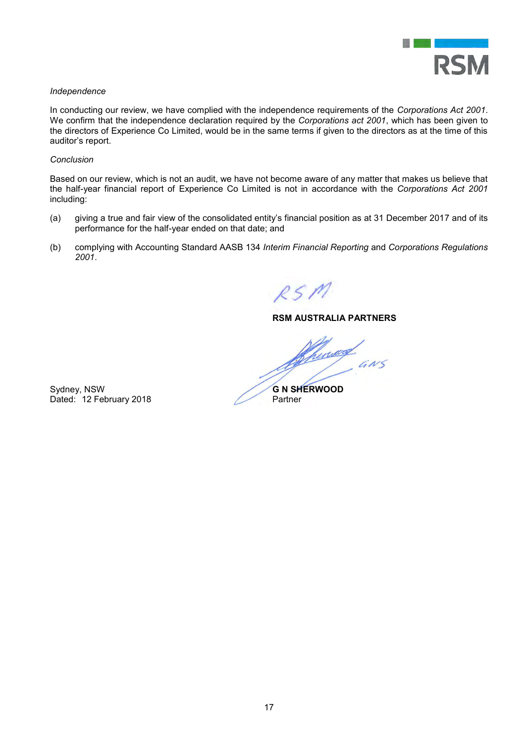

## *Independence*

In conducting our review, we have complied with the independence requirements of the *Corporations Act 2001*. We confirm that the independence declaration required by the *Corporations act 2001*, which has been given to the directors of Experience Co Limited, would be in the same terms if given to the directors as at the time of this auditor's report.

## *Conclusion*

Based on our review, which is not an audit, we have not become aware of any matter that makes us believe that the half-year financial report of Experience Co Limited is not in accordance with the *Corporations Act 2001*  including:

- (a) giving a true and fair view of the consolidated entity's financial position as at 31 December 2017 and of its performance for the half-year ended on that date; and
- (b) complying with Accounting Standard AASB 134 *Interim Financial Reporting* and *Corporations Regulations 2001*.

 $RSM$ 

## **RSM AUSTRALIA PARTNERS**

Chuwd  $rac{a}{a}$ 

Sydney, NSW<br>Dated: 12 February 2018<br>Partner Partner Dated: 12 February 2018